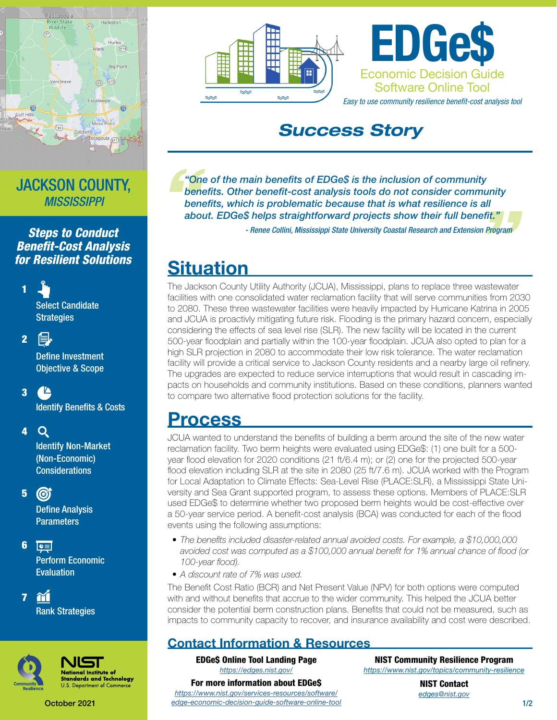

### JACKSON COUNTY, *MISSISSIPPI*

*Steps to Conduct Benefit-Cost Analysis for Resilient Solutions*

> Select Candidate **Strategies**

昌 2

1

**Define Investment** Objective & Scope

### $\sqrt{2}$ 3

**Identify Benefits & Costs** 

#### $\mathbf Q$ 4

Identify Non-Market (Non-Economic) Considerations

#### 5  $\odot$

**Define Analysis Parameters** 

6  $\boxed{\mathbf{c}}$ Perform Economic Evaluation

m 7 Rank Strategies



**Jational Institute of** ndards and Technology Department of Commer

October 2021





## *Success Story*

*n*<br>ber<br>ber<br>abc *"One of the main benefits of EDGe\$ is the inclusion of community benefits. Other benefit-cost analysis tools do not consider community benefits, which is problematic because that is what resilience is all " about. EDGe\$ helps straightforward projects show their full benefit." - Renee Collini, Mississippi State University Coastal Research and Extension Program*

# **Situation**

The Jackson County Utility Authority (JCUA), Mississippi, plans to replace three wastewater facilities with one consolidated water reclamation facility that will serve communities from 2030 to 2080. These three wastewater facilities were heavily impacted by Hurricane Katrina in 2005 and JCUA is proactivly mitigating future risk. Flooding is the primary hazard concern, especially considering the effects of sea level rise (SLR). The new facility will be located in the current 500-year floodplain and partially within the 100-year floodplain. JCUA also opted to plan for a high SLR projection in 2080 to accommodate their low risk tolerance. The water reclamation facility will provide a critical service to Jackson County residents and a nearby large oil refinery. The upgrades are expected to reduce service interruptions that would result in cascading impacts on households and community institutions. Based on these conditions, planners wanted to compare two alternative flood protection solutions for the facility.

## Process

JCUA wanted to understand the benefits of building a berm around the site of the new water reclamation facility. Two berm heights were evaluated using EDGe\$: (1) one built for a 500 year flood elevation for 2020 conditions (21 ft/6.4 m); or (2) one for the projected 500-year flood elevation including SLR at the site in 2080 (25 ft/7.6 m). JCUA worked with the Program for Local Adaptation to Climate Effects: Sea-Level Rise (PLACE:SLR), a Mississippi State University and Sea Grant supported program, to assess these options. Members of PLACE:SLR used EDGe\$ to determine whether two proposed berm heights would be cost-effective over a 50-year service period. A benefit-cost analysis (BCA) was conducted for each of the flood events using the following assumptions:

- *• The benefits included disaster-related annual avoided costs. For example, a \$10,000,000 avoided cost was computed as a \$100,000 annual benefit for 1% annual chance of flood (or 100-year flood).*
- *• A discount rate of 7% was used.*

The Benefit Cost Ratio (BCR) and Net Present Value (NPV) for both options were computed with and without benefits that accrue to the wider community. This helped the JCUA better consider the potential berm construction plans. Benefits that could not be measured, such as impacts to community capacity to recover, and insurance availability and cost were described.

### Contact Information & Resources

EDGe\$ Online Tool Landing Page *<https://edges.nist.gov/>* For more information about EDGe\$

*[https://www.nist.gov/services-resources/software/](https://www.nist.gov/services-resources/software/edge-economic-decision-guide-software-online-tool) [edge-economic-decision-guide-software-online-tool](https://www.nist.gov/services-resources/software/edge-economic-decision-guide-software-online-tool)*

NIST Community Resilience Program *<https://www.nist.gov/topics/community-resilience>*

> NIST Contact *edge[s@nist.gov](mailto:edges%40nist.gov?subject=)*